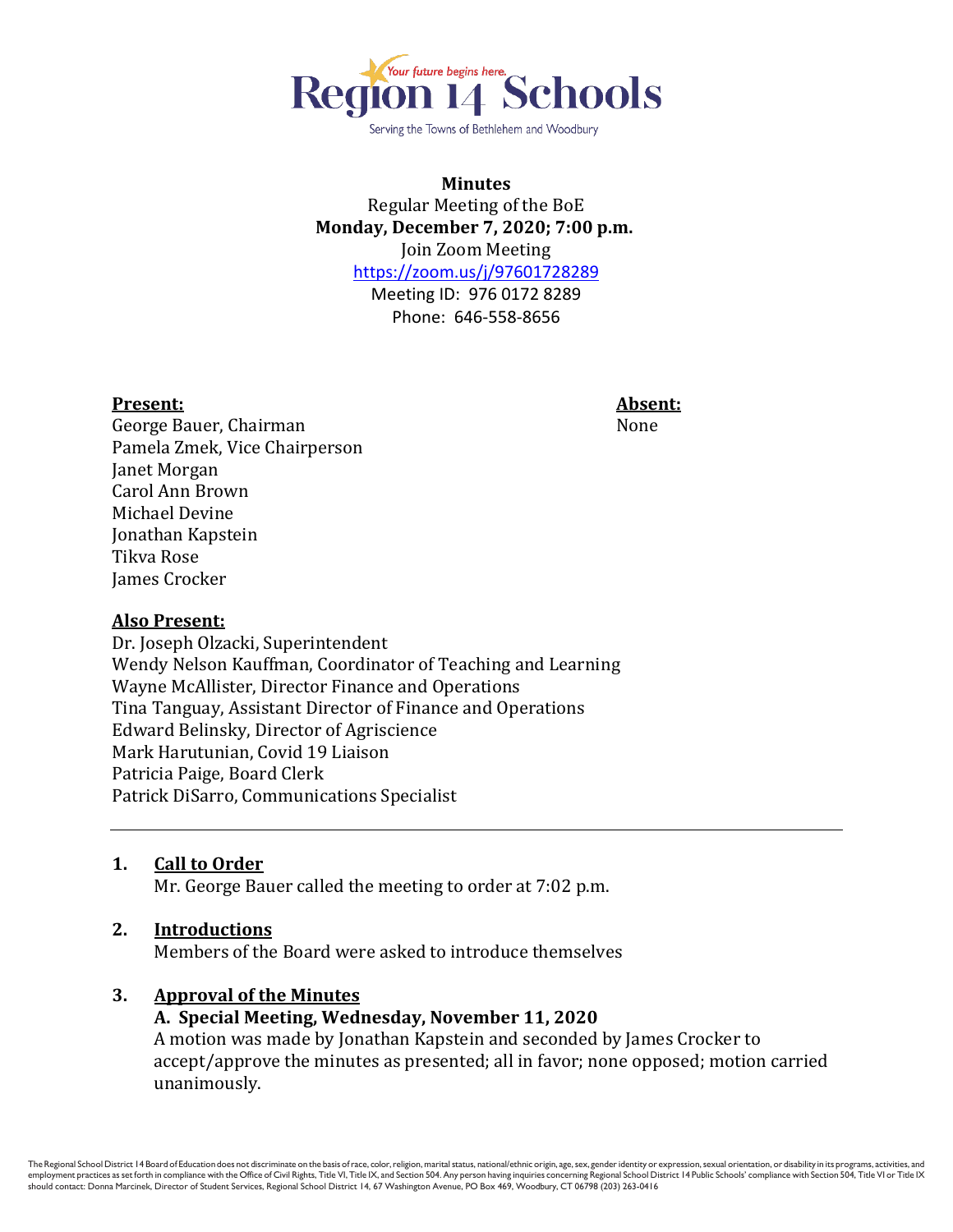

Serving the Towns of Bethlehem and Woodbury

### **Minutes** Regular Meeting of the BoE **Monday, December 7, 2020; 7:00 p.m.** Join Zoom Meeting <https://zoom.us/j/97601728289> Meeting ID: 976 0172 8289

Phone: 646-558-8656

#### **Present: Absent:**

George Bauer, Chairman None Pamela Zmek, Vice Chairperson Janet Morgan Carol Ann Brown Michael Devine Jonathan Kapstein Tikva Rose James Crocker

#### **Also Present:**

Dr. Joseph Olzacki, Superintendent Wendy Nelson Kauffman, Coordinator of Teaching and Learning Wayne McAllister, Director Finance and Operations Tina Tanguay, Assistant Director of Finance and Operations Edward Belinsky, Director of Agriscience Mark Harutunian, Covid 19 Liaison Patricia Paige, Board Clerk Patrick DiSarro, Communications Specialist

**1. Call to Order**

Mr. George Bauer called the meeting to order at 7:02 p.m.

#### **2. Introductions**

Members of the Board were asked to introduce themselves

#### **3. Approval of the Minutes**

## **A. Special Meeting, Wednesday, November 11, 2020**

A motion was made by Jonathan Kapstein and seconded by James Crocker to accept/approve the minutes as presented; all in favor; none opposed; motion carried unanimously.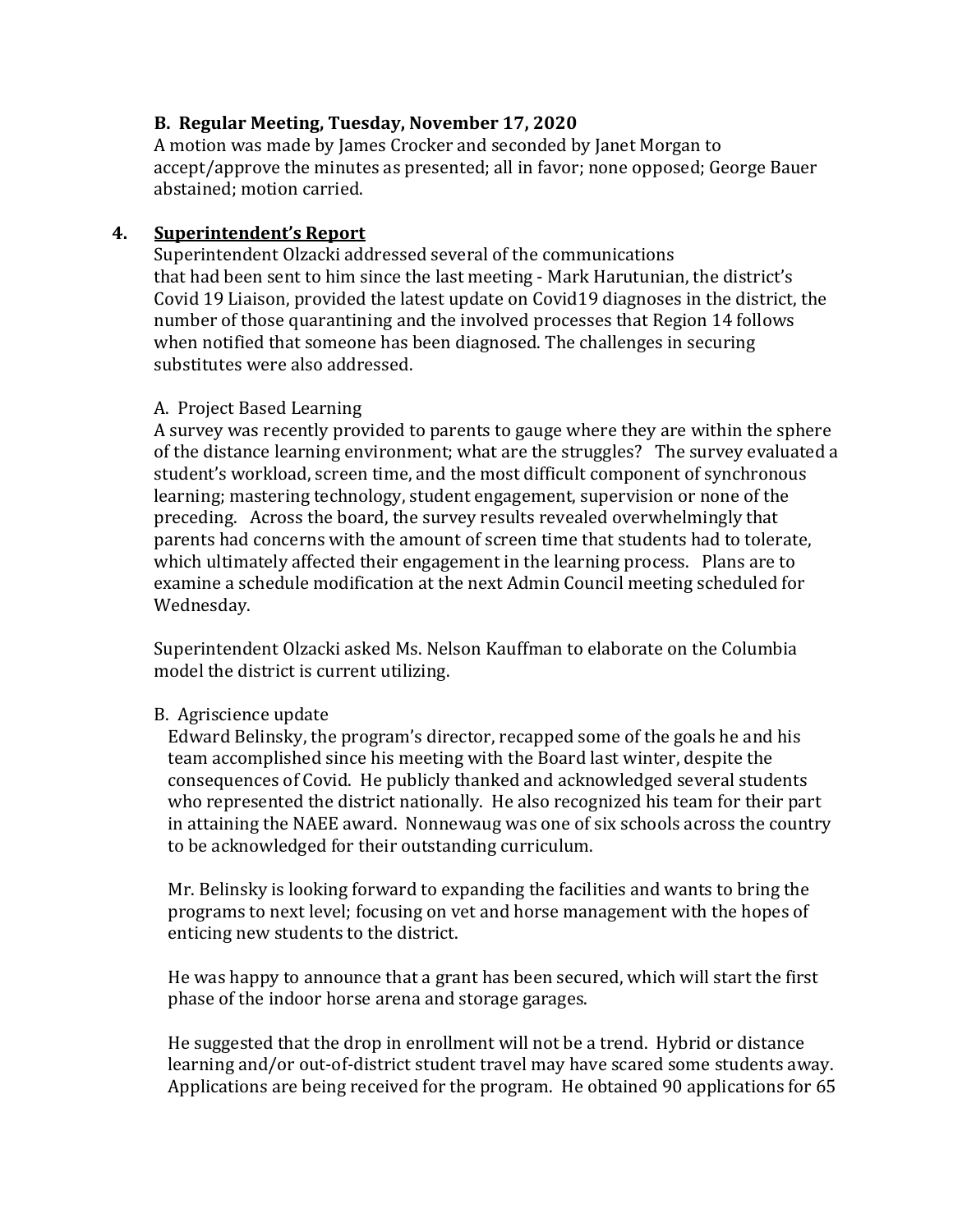## **B. Regular Meeting, Tuesday, November 17, 2020**

A motion was made by James Crocker and seconded by Janet Morgan to accept/approve the minutes as presented; all in favor; none opposed; George Bauer abstained; motion carried.

# **4. Superintendent's Report**

Superintendent Olzacki addressed several of the communications that had been sent to him since the last meeting - Mark Harutunian, the district's Covid 19 Liaison, provided the latest update on Covid19 diagnoses in the district, the number of those quarantining and the involved processes that Region 14 follows when notified that someone has been diagnosed. The challenges in securing substitutes were also addressed.

## A. Project Based Learning

A survey was recently provided to parents to gauge where they are within the sphere of the distance learning environment; what are the struggles? The survey evaluated a student's workload, screen time, and the most difficult component of synchronous learning; mastering technology, student engagement, supervision or none of the preceding. Across the board, the survey results revealed overwhelmingly that parents had concerns with the amount of screen time that students had to tolerate, which ultimately affected their engagement in the learning process. Plans are to examine a schedule modification at the next Admin Council meeting scheduled for Wednesday.

Superintendent Olzacki asked Ms. Nelson Kauffman to elaborate on the Columbia model the district is current utilizing.

# B. Agriscience update

Edward Belinsky, the program's director, recapped some of the goals he and his team accomplished since his meeting with the Board last winter, despite the consequences of Covid. He publicly thanked and acknowledged several students who represented the district nationally. He also recognized his team for their part in attaining the NAEE award. Nonnewaug was one of six schools across the country to be acknowledged for their outstanding curriculum.

Mr. Belinsky is looking forward to expanding the facilities and wants to bring the programs to next level; focusing on vet and horse management with the hopes of enticing new students to the district.

He was happy to announce that a grant has been secured, which will start the first phase of the indoor horse arena and storage garages.

He suggested that the drop in enrollment will not be a trend. Hybrid or distance learning and/or out-of-district student travel may have scared some students away. Applications are being received for the program. He obtained 90 applications for 65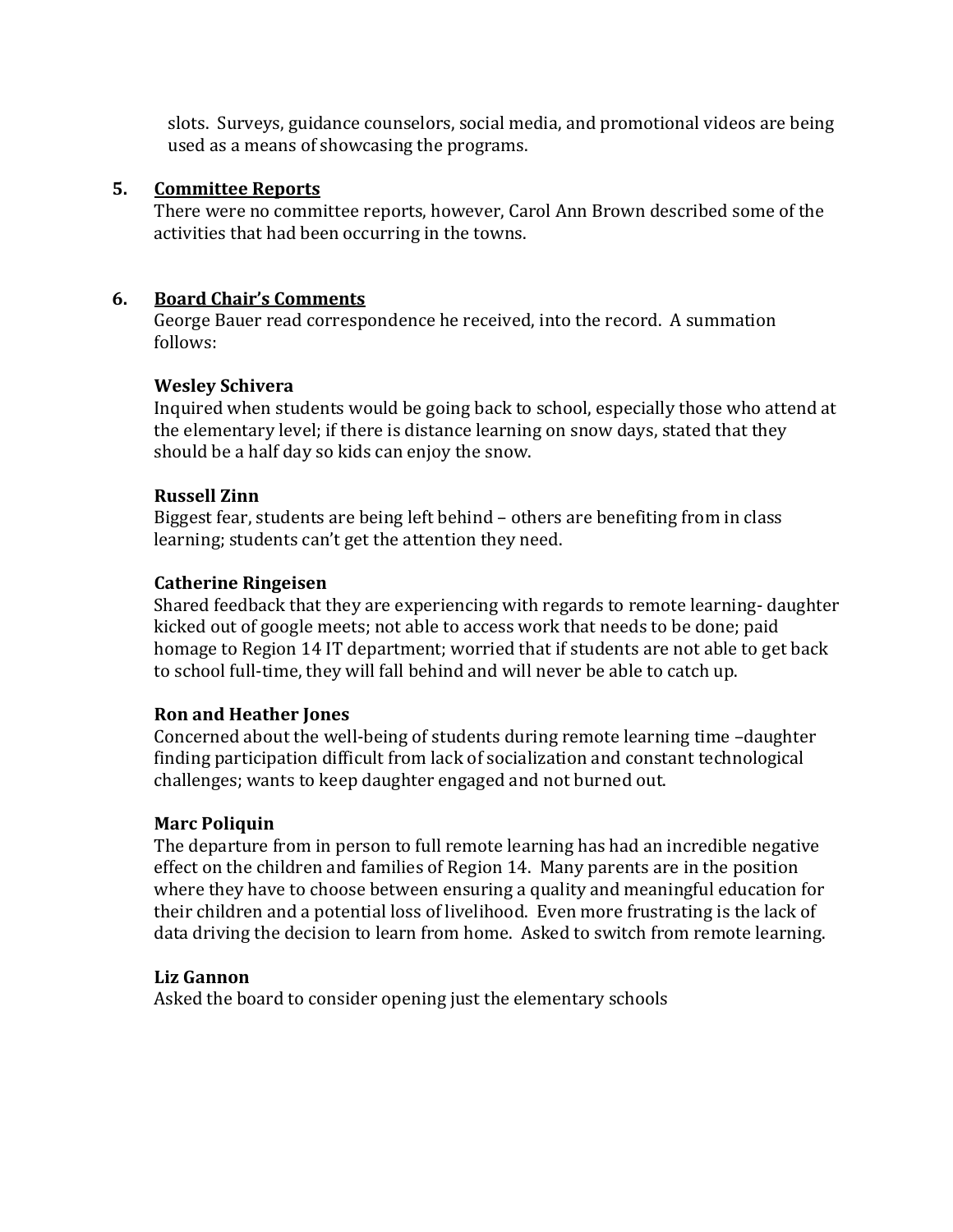slots. Surveys, guidance counselors, social media, and promotional videos are being used as a means of showcasing the programs.

## **5. Committee Reports**

There were no committee reports, however, Carol Ann Brown described some of the activities that had been occurring in the towns.

## **6. Board Chair's Comments**

George Bauer read correspondence he received, into the record. A summation follows:

## **Wesley Schivera**

Inquired when students would be going back to school, especially those who attend at the elementary level; if there is distance learning on snow days, stated that they should be a half day so kids can enjoy the snow.

## **Russell Zinn**

Biggest fear, students are being left behind – others are benefiting from in class learning; students can't get the attention they need.

## **Catherine Ringeisen**

Shared feedback that they are experiencing with regards to remote learning- daughter kicked out of google meets; not able to access work that needs to be done; paid homage to Region 14 IT department; worried that if students are not able to get back to school full-time, they will fall behind and will never be able to catch up.

### **Ron and Heather Jones**

Concerned about the well-being of students during remote learning time –daughter finding participation difficult from lack of socialization and constant technological challenges; wants to keep daughter engaged and not burned out.

# **Marc Poliquin**

The departure from in person to full remote learning has had an incredible negative effect on the children and families of Region 14. Many parents are in the position where they have to choose between ensuring a quality and meaningful education for their children and a potential loss of livelihood. Even more frustrating is the lack of data driving the decision to learn from home. Asked to switch from remote learning.

# **Liz Gannon**

Asked the board to consider opening just the elementary schools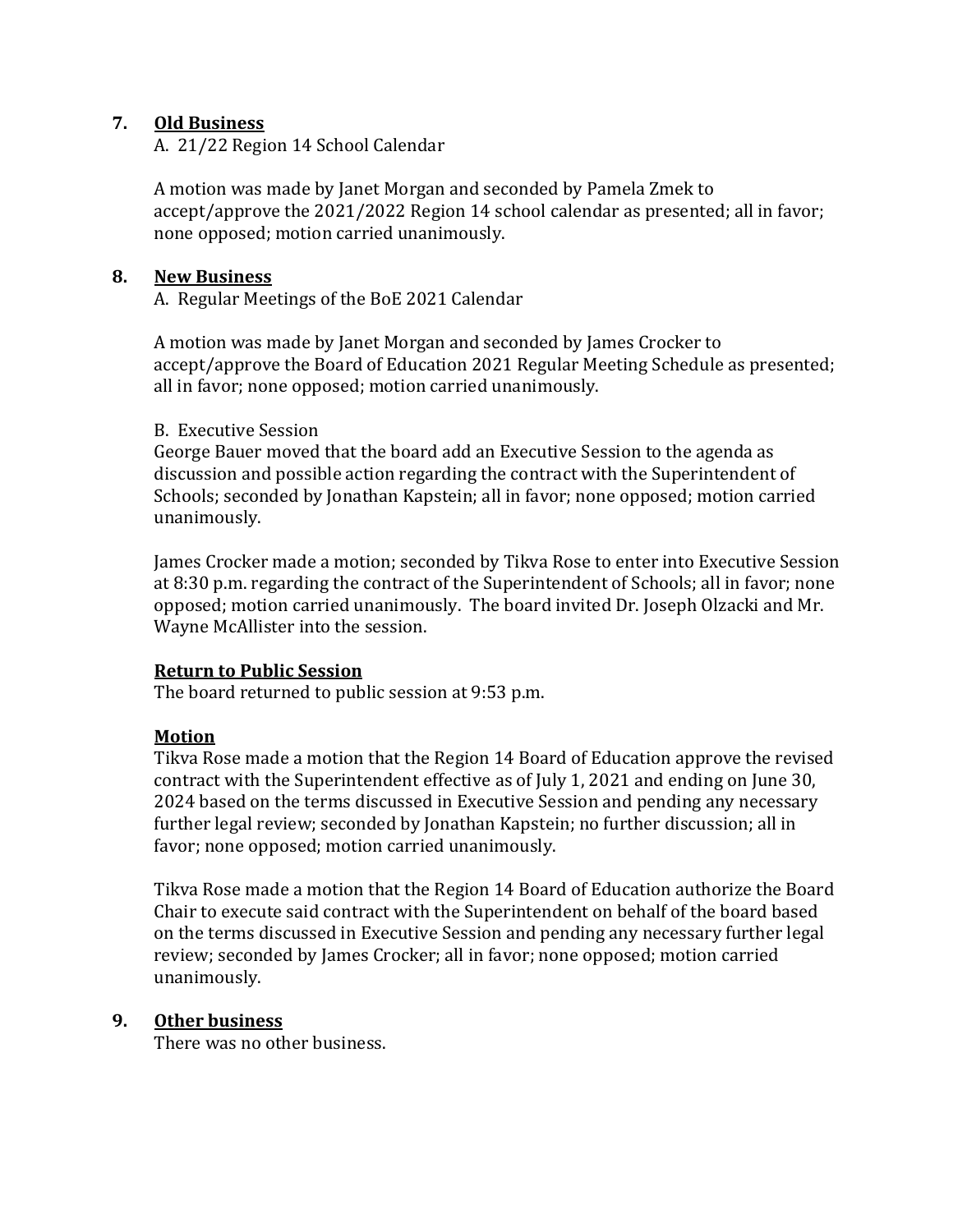## **7. Old Business**

A. 21/22 Region 14 School Calendar

A motion was made by Janet Morgan and seconded by Pamela Zmek to accept/approve the 2021/2022 Region 14 school calendar as presented; all in favor; none opposed; motion carried unanimously.

### **8. New Business**

A. Regular Meetings of the BoE 2021 Calendar

A motion was made by Janet Morgan and seconded by James Crocker to accept/approve the Board of Education 2021 Regular Meeting Schedule as presented; all in favor; none opposed; motion carried unanimously.

#### B. Executive Session

George Bauer moved that the board add an Executive Session to the agenda as discussion and possible action regarding the contract with the Superintendent of Schools; seconded by Jonathan Kapstein; all in favor; none opposed; motion carried unanimously.

James Crocker made a motion; seconded by Tikva Rose to enter into Executive Session at 8:30 p.m. regarding the contract of the Superintendent of Schools; all in favor; none opposed; motion carried unanimously. The board invited Dr. Joseph Olzacki and Mr. Wayne McAllister into the session.

### **Return to Public Session**

The board returned to public session at 9:53 p.m.

### **Motion**

Tikva Rose made a motion that the Region 14 Board of Education approve the revised contract with the Superintendent effective as of July 1, 2021 and ending on June 30, 2024 based on the terms discussed in Executive Session and pending any necessary further legal review; seconded by Jonathan Kapstein; no further discussion; all in favor; none opposed; motion carried unanimously.

Tikva Rose made a motion that the Region 14 Board of Education authorize the Board Chair to execute said contract with the Superintendent on behalf of the board based on the terms discussed in Executive Session and pending any necessary further legal review; seconded by James Crocker; all in favor; none opposed; motion carried unanimously.

### **9. Other business**

There was no other business.